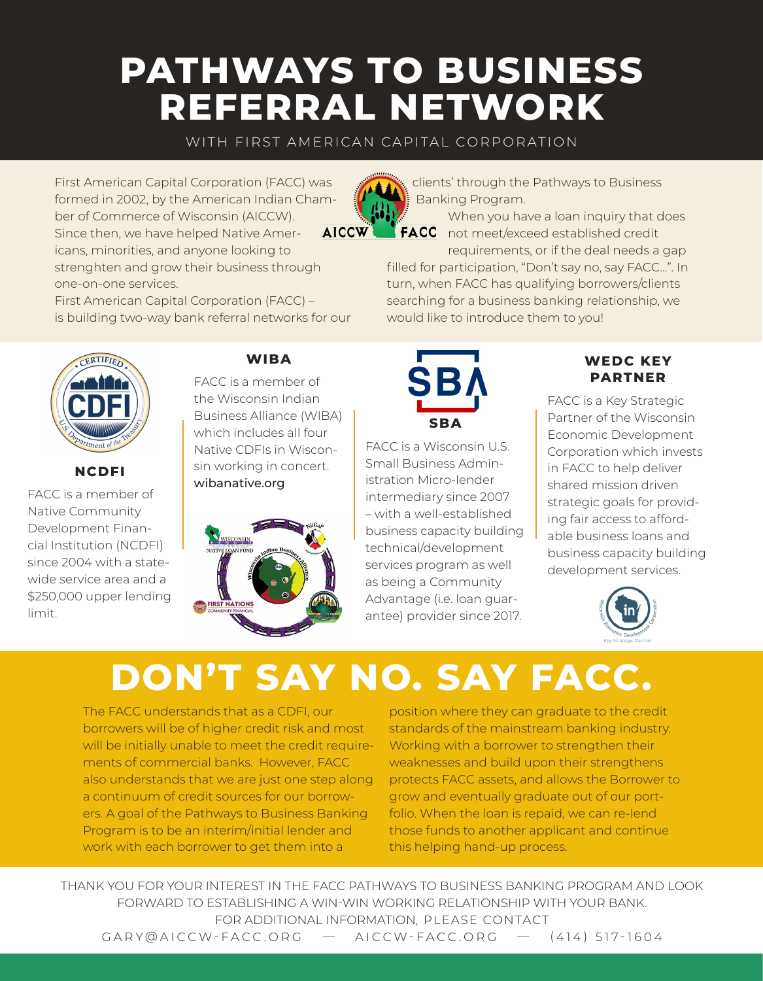### **PATHWAYS TO BUSINESS REFERRAL NETWORK**

WITH FIRST AMERICAN CAPITAL CORPORATION

First American Capital Corporation (FACC) was formed in 2002, by the American Indian Chamber of Commerce of Wisconsin (AICCW). Since then, we have helped Native Americans, minorities, and anyone looking to strenghten and grow their business through one-on-one services.

First American Capital Corporation (FACC) – is building two-way bank referral networks for our clients' through the Pathways to Business Banking Program.

When you have a loan inquiry that does FACC not meet/exceed established credit

requirements, or if the deal needs a gap filled for participation, "Don't say no, say FACC…". In turn, when FACC has qualifying borrowers/clients searching for a business banking relationship, we would like to introduce them to you!



### **NCDFI**

FACC is a member of Native Community Development Financial Institution (NCDFI) since 2004 with a statewide service area and a \$250,000 upper lending limit.

### **WIBA**

FACC is a member of the Wisconsin Indian Business Alliance (WIBA) which includes all four Native CDFIs in Wisconsin working in concert. wibanative.org





FACC is a Wisconsin U.S. Small Business Administration Micro-lender intermediary since 2007 – with a well-established business capacity building technical/development services program as well as being a Community Advantage (i.e. loan guarantee) provider since 2017.

### **WEDC KEY PARTNER**

FACC is a Key Strategic Partner of the Wisconsin Economic Development Corporation which invests in FACC to help deliver shared mission driven strategic goals for providing fair access to affordable business loans and business capacity building development services.



## **DON'T SAY NO. SAY FACC.**

The FACC understands that as a CDFI, our borrowers will be of higher credit risk and most will be initially unable to meet the credit requirements of commercial banks. However, FACC also understands that we are just one step along a continuum of credit sources for our borrowers. A goal of the Pathways to Business Banking Program is to be an interim/initial lender and work with each borrower to get them into a

position where they can graduate to the credit standards of the mainstream banking industry. Working with a borrower to strengthen their weaknesses and build upon their strengthens protects FACC assets, and allows the Borrower to grow and eventually graduate out of our portfolio. When the loan is repaid, we can re-lend those funds to another applicant and continue this helping hand-up process.

THANK YOU FOR YOUR INTEREST IN THE FACC PATHWAYS TO BUSINESS BANKING PROGRAM AND LOOK FORWARD TO ESTABLISHING A WIN-WIN WORKING RELATIONSHIP WITH YOUR BANK. FOR ADDITIONAL INFORMATION, PLEASE CONTACT GARY@AICCW-FACC.ORG — AICCW-FACC.ORG — (414) 517-1604